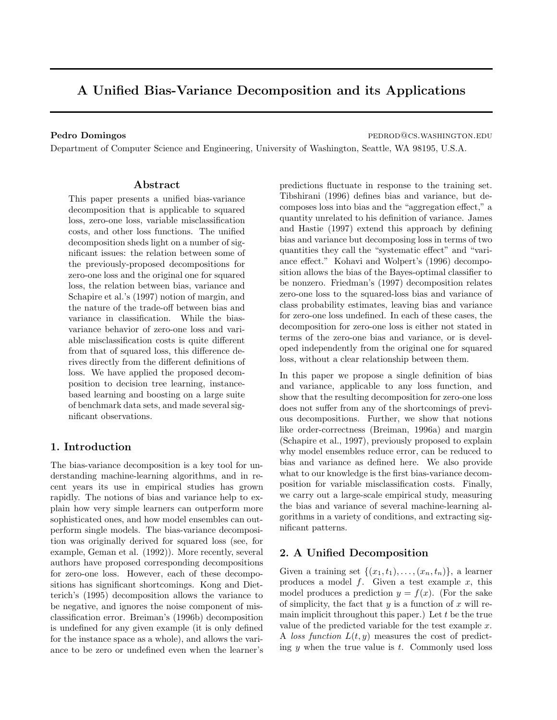# A Unified Bias-Variance Decomposition and its Applications

Pedro Domingos **pedro Domingos** pedrodos estas pedrodos estas pedrodos estas pedrodos estas pedrodos estas pedro

Department of Computer Science and Engineering, University of Washington, Seattle, WA 98195, U.S.A.

## Abstract

This paper presents a unified bias-variance decomposition that is applicable to squared loss, zero-one loss, variable misclassification costs, and other loss functions. The unified decomposition sheds light on a number of significant issues: the relation between some of the previously-proposed decompositions for zero-one loss and the original one for squared loss, the relation between bias, variance and Schapire et al.'s (1997) notion of margin, and the nature of the trade-off between bias and variance in classification. While the biasvariance behavior of zero-one loss and variable misclassification costs is quite different from that of squared loss, this difference derives directly from the different definitions of loss. We have applied the proposed decomposition to decision tree learning, instancebased learning and boosting on a large suite of benchmark data sets, and made several significant observations.

# 1. Introduction

The bias-variance decomposition is a key tool for understanding machine-learning algorithms, and in recent years its use in empirical studies has grown rapidly. The notions of bias and variance help to explain how very simple learners can outperform more sophisticated ones, and how model ensembles can outperform single models. The bias-variance decomposition was originally derived for squared loss (see, for example, Geman et al. (1992)). More recently, several authors have proposed corresponding decompositions for zero-one loss. However, each of these decompositions has significant shortcomings. Kong and Dietterich's (1995) decomposition allows the variance to be negative, and ignores the noise component of misclassification error. Breiman's (1996b) decomposition is undefined for any given example (it is only defined for the instance space as a whole), and allows the variance to be zero or undefined even when the learner's predictions fluctuate in response to the training set. Tibshirani (1996) defines bias and variance, but decomposes loss into bias and the "aggregation effect," a quantity unrelated to his definition of variance. James and Hastie (1997) extend this approach by defining bias and variance but decomposing loss in terms of two quantities they call the "systematic effect" and "variance effect." Kohavi and Wolpert's (1996) decomposition allows the bias of the Bayes-optimal classifier to be nonzero. Friedman's (1997) decomposition relates zero-one loss to the squared-loss bias and variance of class probability estimates, leaving bias and variance for zero-one loss undefined. In each of these cases, the decomposition for zero-one loss is either not stated in terms of the zero-one bias and variance, or is developed independently from the original one for squared loss, without a clear relationship between them.

In this paper we propose a single definition of bias and variance, applicable to any loss function, and show that the resulting decomposition for zero-one loss does not suffer from any of the shortcomings of previous decompositions. Further, we show that notions like order-correctness (Breiman, 1996a) and margin (Schapire et al., 1997), previously proposed to explain why model ensembles reduce error, can be reduced to bias and variance as defined here. We also provide what to our knowledge is the first bias-variance decomposition for variable misclassification costs. Finally, we carry out a large-scale empirical study, measuring the bias and variance of several machine-learning algorithms in a variety of conditions, and extracting significant patterns.

# 2. A Unified Decomposition

Given a training set  $\{(x_1,t_1),\ldots,(x_n,t_n)\}\$ , a learner produces a model  $f$ . Given a test example  $x$ , this model produces a prediction  $y = f(x)$ . (For the sake of simplicity, the fact that  $y$  is a function of  $x$  will remain implicit throughout this paper.) Let  $t$  be the true value of the predicted variable for the test example x. A loss function  $L(t, y)$  measures the cost of predicting  $y$  when the true value is  $t$ . Commonly used loss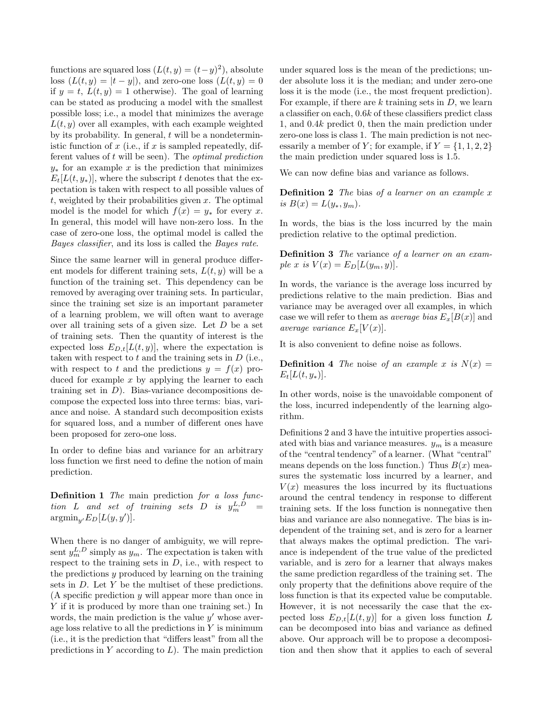functions are squared loss  $(L(t, y) = (t-y)^2)$ , absolute loss  $(L(t, y) = |t - y|)$ , and zero-one loss  $(L(t, y) = 0)$ if  $y = t$ ,  $L(t, y) = 1$  otherwise). The goal of learning can be stated as producing a model with the smallest possible loss; i.e., a model that minimizes the average  $L(t, y)$  over all examples, with each example weighted by its probability. In general,  $t$  will be a nondeterministic function of  $x$  (i.e., if  $x$  is sampled repeatedly, different values of  $t$  will be seen). The *optimal prediction*  $y_*$  for an example x is the prediction that minimizes  $E_t[L(t, y_*)]$ , where the subscript t denotes that the expectation is taken with respect to all possible values of  $t$ , weighted by their probabilities given  $x$ . The optimal model is the model for which  $f(x) = y_*$  for every x. In general, this model will have non-zero loss. In the case of zero-one loss, the optimal model is called the Bayes classifier, and its loss is called the Bayes rate.

Since the same learner will in general produce different models for different training sets,  $L(t, y)$  will be a function of the training set. This dependency can be removed by averaging over training sets. In particular, since the training set size is an important parameter of a learning problem, we will often want to average over all training sets of a given size. Let  $D$  be a set of training sets. Then the quantity of interest is the expected loss  $E_{D,t}[L(t, y)]$ , where the expectation is taken with respect to  $t$  and the training sets in  $D$  (i.e., with respect to t and the predictions  $y = f(x)$  produced for example  $x$  by applying the learner to each training set in  $D$ ). Bias-variance decompositions decompose the expected loss into three terms: bias, variance and noise. A standard such decomposition exists for squared loss, and a number of different ones have been proposed for zero-one loss.

In order to define bias and variance for an arbitrary loss function we first need to define the notion of main prediction.

**Definition 1** The main prediction for a loss func- $\emph{tion} \quad L \quad \emph{and} \quad \emph{set} \quad \emph{of} \quad \emph{training} \quad \emph{sets} \quad D \quad \emph{is} \quad \emph{y}_{m}^{L,D} \quad \emph{=}$  $\operatorname{argmin}_{y'} E_D[L(y, y')].$ 

When there is no danger of ambiguity, we will represent  $y_m^{L,D}$  simply as  $y_m$ . The expectation is taken with respect to the training sets in  $D$ , i.e., with respect to the predictions y produced by learning on the training sets in D. Let Y be the multiset of these predictions. (A specific prediction y will appear more than once in Y if it is produced by more than one training set.) In words, the main prediction is the value  $y'$  whose average loss relative to all the predictions in  $Y$  is minimum (i.e., it is the prediction that "differs least" from all the predictions in  $Y$  according to  $L$ ). The main prediction

under squared loss is the mean of the predictions; under absolute loss it is the median; and under zero-one loss it is the mode (i.e., the most frequent prediction). For example, if there are  $k$  training sets in  $D$ , we learn a classifier on each, 0.6k of these classifiers predict class 1, and 0.4k predict 0, then the main prediction under zero-one loss is class 1. The main prediction is not necessarily a member of Y; for example, if  $Y = \{1, 1, 2, 2\}$ the main prediction under squared loss is 1.5.

We can now define bias and variance as follows.

**Definition 2** The bias of a learner on an example  $x$ is  $B(x) = L(y_*, y_m)$ .

In words, the bias is the loss incurred by the main prediction relative to the optimal prediction.

Definition 3 The variance of a learner on an example x is  $V(x) = E_D[L(y_m, y)].$ 

In words, the variance is the average loss incurred by predictions relative to the main prediction. Bias and variance may be averaged over all examples, in which case we will refer to them as *average bias*  $E_x[B(x)]$  and average variance  $E_x[V(x)]$ .

It is also convenient to define noise as follows.

**Definition 4** The noise of an example x is  $N(x) =$  $E_t[L(t, y_*)].$ 

In other words, noise is the unavoidable component of the loss, incurred independently of the learning algorithm.

Definitions 2 and 3 have the intuitive properties associated with bias and variance measures.  $y_m$  is a measure of the "central tendency" of a learner. (What "central" means depends on the loss function.) Thus  $B(x)$  measures the systematic loss incurred by a learner, and  $V(x)$  measures the loss incurred by its fluctuations around the central tendency in response to different training sets. If the loss function is nonnegative then bias and variance are also nonnegative. The bias is independent of the training set, and is zero for a learner that always makes the optimal prediction. The variance is independent of the true value of the predicted variable, and is zero for a learner that always makes the same prediction regardless of the training set. The only property that the definitions above require of the loss function is that its expected value be computable. However, it is not necessarily the case that the expected loss  $E_{D,t}[L(t, y)]$  for a given loss function L can be decomposed into bias and variance as defined above. Our approach will be to propose a decomposition and then show that it applies to each of several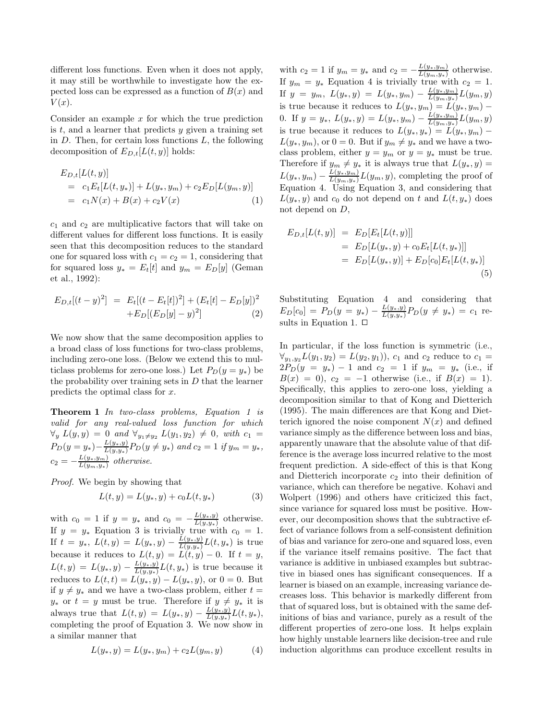different loss functions. Even when it does not apply, it may still be worthwhile to investigate how the expected loss can be expressed as a function of  $B(x)$  and  $V(x)$ .

Consider an example  $x$  for which the true prediction is  $t$ , and a learner that predicts  $y$  given a training set in  $D$ . Then, for certain loss functions  $L$ , the following decomposition of  $E_{D,t}[L(t,y)]$  holds:

$$
E_{D,t}[L(t,y)]
$$
  
= c<sub>1</sub>E<sub>t</sub>[L(t,y<sub>\*</sub>)] + L(y<sub>\*</sub>, y<sub>m</sub>) + c<sub>2</sub>E<sub>D</sub>[L(y<sub>m</sub>, y)]  
= c<sub>1</sub>N(x) + B(x) + c<sub>2</sub>V(x) (1)

 $c_1$  and  $c_2$  are multiplicative factors that will take on different values for different loss functions. It is easily seen that this decomposition reduces to the standard one for squared loss with  $c_1 = c_2 = 1$ , considering that for squared loss  $y_* = E_t[t]$  and  $y_m = E_D[y]$  (Geman et al., 1992):

$$
E_{D,t}[(t-y)^2] = E_t[(t-E_t[t])^2] + (E_t[t]-E_D[y])^2
$$
  
+
$$
+E_D[(E_D[y]-y)^2]
$$
 (2)

We now show that the same decomposition applies to a broad class of loss functions for two-class problems, including zero-one loss. (Below we extend this to multiclass problems for zero-one loss.) Let  $P_D(y = y_*)$  be the probability over training sets in  $D$  that the learner predicts the optimal class for x.

Theorem 1 In two-class problems, Equation 1 is valid for any real-valued loss function for which  $\forall y \ L(y, y) = 0 \ and \ \forall y_1 \neq y_2 \ L(y_1, y_2) \neq 0, \ with \ c_1 =$  $P_D(y = y_*) - \frac{L(y_*,y)}{L(y_*,y_*)}$  $\frac{L(y_*,y)}{L(y,y_*)}P_D(y \neq y_*)$  and  $c_2 = 1$  if  $y_m = y_*$ ,  $c_2 = -\frac{L(y_*, y_m)}{L(y_m, y_m)}$  $rac{L(y_*, y_m)}{L(y_m, y_*)}$  otherwise.

Proof. We begin by showing that

$$
L(t, y) = L(y_*, y) + c_0 L(t, y_*)
$$
\n(3)

with  $c_0 = 1$  if  $y = y_*$  and  $c_0 = -\frac{L(y_*, y)}{L(y_*, y_*)}$  $\frac{L(y_*,y)}{L(y,y_*)}$  otherwise. If  $y = y_*$  Equation 3 is trivially true with  $c_0 = 1$ . If  $t = y_*$ ,  $L(t, y) = L(y_*, y) - \frac{L(y_*, y)}{L(y_*, y)}$  $\frac{L(y_*,y)}{L(y,y_*)}L(t,y_*)$  is true because it reduces to  $L(t, y) = L(t, y) - 0$ . If  $t = y$ ,  $L(t, y) = L(y_*, y) - \frac{L(y_*, y)}{L(y_*, y_*)}$  $\frac{L(y_*,y)}{L(y,y_*)}L(t,y_*)$  is true because it reduces to  $L(t,t) = L(y_*, y) - L(y_*, y)$ , or  $0 = 0$ . But if  $y \neq y_*$  and we have a two-class problem, either  $t =$  $y_*$  or  $t = y$  must be true. Therefore if  $y \neq y_*$  it is always true that  $L(t, y) = L(y_*, y) - \frac{L(y_*, y)}{L(y_*, y)}$  $\frac{L(y_*,y)}{L(y,y_*)}L(t,y_*),$ completing the proof of Equation 3. We now show in a similar manner that

$$
L(y_*, y) = L(y_*, y_m) + c_2 L(y_m, y)
$$
 (4)

with  $c_2 = 1$  if  $y_m = y_*$  and  $c_2 = -\frac{L(y_*, y_m)}{L(y_m, y_m)}$  $\frac{L(y_*, y_m)}{L(y_m, y_*)}$  otherwise. If  $y_m = y_*$  Equation 4 is trivially true with  $c_2 = 1$ . If  $y = y_m$ ,  $L(y_*, y) = L(y_*, y_m) - \frac{L(y_*, y_m)}{L(y_m, y_m)}$  $\frac{L(y_*,y_m)}{L(y_m,y_*)}L(y_m,y)$ is true because it reduces to  $L(y_*, y_m) = L(y_*, y_m) -$ 0. If  $y = y_*$ ,  $L(y_*, y) = L(y_*, y_m) - \frac{L(y_*, y_m)}{L(y_m, y_m)}$  $\frac{L(y_*,y_m)}{L(y_m,y_*)}L(y_m,y)$ is true because it reduces to  $L(y_*, y_*) = L(y_*, y_m)$  –  $L(y_*, y_m)$ , or  $0 = 0$ . But if  $y_m \neq y_*$  and we have a twoclass problem, either  $y = y_m$  or  $y = y_*$  must be true. Therefore if  $y_m \neq y_*$  it is always true that  $L(y_*, y) =$  $L(y_*, y_m) - \frac{L(y_*, y_m)}{L(y_m, y_*)} L(y_m, y)$ , completing the proof of Equation 4. Using Equation 3, and considering that  $L(y_*, y)$  and  $c_0$  do not depend on t and  $L(t, y_*)$  does not depend on D,

$$
E_{D,t}[L(t,y)] = E_D[E_t[L(t,y)]]
$$
  
=  $E_D[L(y_*, y) + c_0 E_t[L(t, y_*)]]$   
=  $E_D[L(y_*, y)] + E_D[c_0]E_t[L(t, y_*)]$   
(5)

Substituting Equation 4 and considering that  $E_D[c_0] = P_D(y = y_*) - \frac{L(y_*, y)}{L(y, y_*)}$  $\frac{L(y_*,y)}{L(y,y_*)}P_D(y \neq y_*) = c_1$  results in Equation 1.  $\Box$ 

In particular, if the loss function is symmetric (i.e.,  $\forall_{y_1,y_2} L(y_1, y_2) = L(y_2, y_1)$ ,  $c_1$  and  $c_2$  reduce to  $c_1 =$  $2P_D(y = y_*) - 1$  and  $c_2 = 1$  if  $y_m = y_*$  (i.e., if  $B(x) = 0$ ,  $c_2 = -1$  otherwise (i.e., if  $B(x) = 1$ ). Specifically, this applies to zero-one loss, yielding a decomposition similar to that of Kong and Dietterich (1995). The main differences are that Kong and Dietterich ignored the noise component  $N(x)$  and defined variance simply as the difference between loss and bias, apparently unaware that the absolute value of that difference is the average loss incurred relative to the most frequent prediction. A side-effect of this is that Kong and Dietterich incorporate  $c_2$  into their definition of variance, which can therefore be negative. Kohavi and Wolpert (1996) and others have criticized this fact, since variance for squared loss must be positive. However, our decomposition shows that the subtractive effect of variance follows from a self-consistent definition of bias and variance for zero-one and squared loss, even if the variance itself remains positive. The fact that variance is additive in unbiased examples but subtractive in biased ones has significant consequences. If a learner is biased on an example, increasing variance decreases loss. This behavior is markedly different from that of squared loss, but is obtained with the same definitions of bias and variance, purely as a result of the different properties of zero-one loss. It helps explain how highly unstable learners like decision-tree and rule induction algorithms can produce excellent results in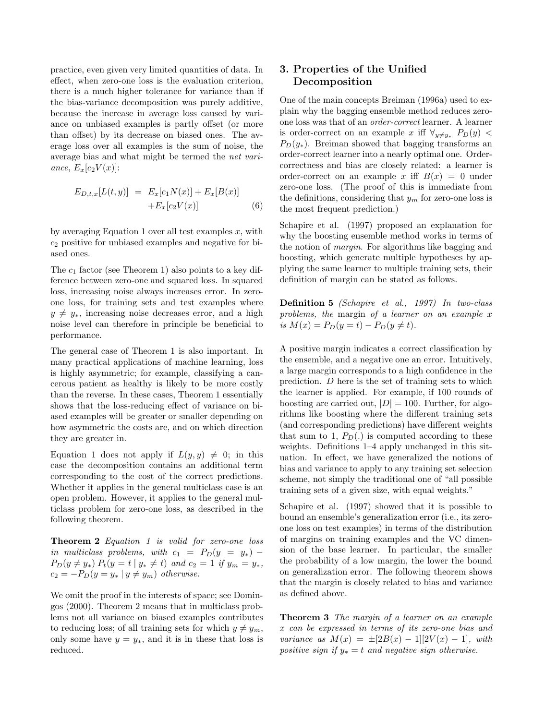practice, even given very limited quantities of data. In effect, when zero-one loss is the evaluation criterion, there is a much higher tolerance for variance than if the bias-variance decomposition was purely additive, because the increase in average loss caused by variance on unbiased examples is partly offset (or more than offset) by its decrease on biased ones. The average loss over all examples is the sum of noise, the average bias and what might be termed the net variance,  $E_x[c_2V(x)]$ :

$$
E_{D,t,x}[L(t,y)] = E_x[c_1N(x)] + E_x[B(x)] + E_x[c_2V(x)] \tag{6}
$$

by averaging Equation 1 over all test examples  $x$ , with  $c_2$  positive for unbiased examples and negative for biased ones.

The  $c_1$  factor (see Theorem 1) also points to a key difference between zero-one and squared loss. In squared loss, increasing noise always increases error. In zeroone loss, for training sets and test examples where  $y \neq y_*$ , increasing noise decreases error, and a high noise level can therefore in principle be beneficial to performance.

The general case of Theorem 1 is also important. In many practical applications of machine learning, loss is highly asymmetric; for example, classifying a cancerous patient as healthy is likely to be more costly than the reverse. In these cases, Theorem 1 essentially shows that the loss-reducing effect of variance on biased examples will be greater or smaller depending on how asymmetric the costs are, and on which direction they are greater in.

Equation 1 does not apply if  $L(y, y) \neq 0$ ; in this case the decomposition contains an additional term corresponding to the cost of the correct predictions. Whether it applies in the general multiclass case is an open problem. However, it applies to the general multiclass problem for zero-one loss, as described in the following theorem.

Theorem 2 Equation 1 is valid for zero-one loss in multiclass problems, with  $c_1 = P_D(y = y_*)$  –  $P_D(y \neq y_*) P_t(y = t | y_* \neq t)$  and  $c_2 = 1$  if  $y_m = y_*$ ,  $c_2 = -P_D(y = y_* | y \neq y_m)$  otherwise.

We omit the proof in the interests of space; see Domingos (2000). Theorem 2 means that in multiclass problems not all variance on biased examples contributes to reducing loss; of all training sets for which  $y \neq y_m$ , only some have  $y = y_*$ , and it is in these that loss is reduced.

# 3. Properties of the Unified Decomposition

One of the main concepts Breiman (1996a) used to explain why the bagging ensemble method reduces zeroone loss was that of an order-correct learner. A learner is order-correct on an example x iff  $\forall_{y\neq y*}$   $P_D(y)$  <  $P_D(y_*)$ . Breiman showed that bagging transforms an order-correct learner into a nearly optimal one. Ordercorrectness and bias are closely related: a learner is order-correct on an example x iff  $B(x) = 0$  under zero-one loss. (The proof of this is immediate from the definitions, considering that  $y_m$  for zero-one loss is the most frequent prediction.)

Schapire et al. (1997) proposed an explanation for why the boosting ensemble method works in terms of the notion of margin. For algorithms like bagging and boosting, which generate multiple hypotheses by applying the same learner to multiple training sets, their definition of margin can be stated as follows.

Definition 5 (Schapire et al., 1997) In two-class problems, the margin of a learner on an example x is  $M(x) = P_D(y = t) - P_D(y \neq t)$ .

A positive margin indicates a correct classification by the ensemble, and a negative one an error. Intuitively, a large margin corresponds to a high confidence in the prediction. D here is the set of training sets to which the learner is applied. For example, if 100 rounds of boosting are carried out,  $|D| = 100$ . Further, for algorithms like boosting where the different training sets (and corresponding predictions) have different weights that sum to 1,  $P_D(.)$  is computed according to these weights. Definitions 1–4 apply unchanged in this situation. In effect, we have generalized the notions of bias and variance to apply to any training set selection scheme, not simply the traditional one of "all possible training sets of a given size, with equal weights."

Schapire et al. (1997) showed that it is possible to bound an ensemble's generalization error (i.e., its zeroone loss on test examples) in terms of the distribution of margins on training examples and the VC dimension of the base learner. In particular, the smaller the probability of a low margin, the lower the bound on generalization error. The following theorem shows that the margin is closely related to bias and variance as defined above.

Theorem 3 The margin of a learner on an example x can be expressed in terms of its zero-one bias and variance as  $M(x) = \pm [2B(x) - 1][2V(x) - 1]$ , with positive sign if  $y_* = t$  and negative sign otherwise.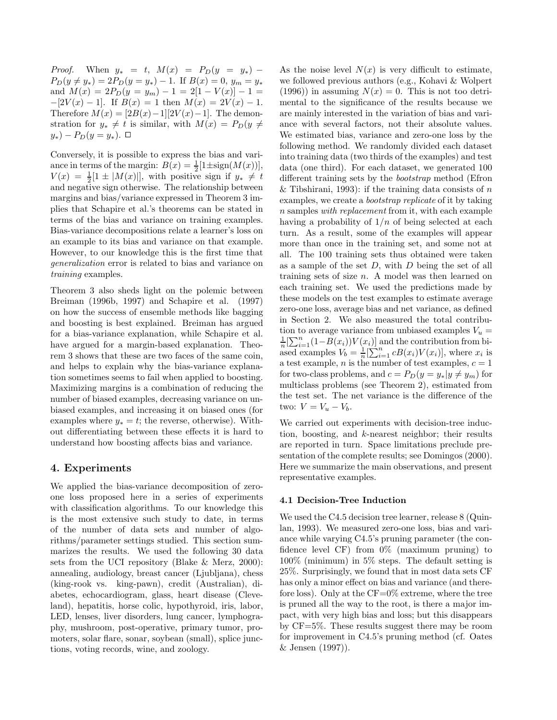*Proof.* When  $y_* = t$ ,  $M(x) = P_D(y = y_*)$  –  $P_D(y \neq y_*) = 2P_D(y = y_*) - 1.$  If  $B(x) = 0, y_m = y_*$ and  $M(x) = 2P_D(y = y_m) - 1 = 2[1 - V(x)] - 1 =$  $-[2V(x) - 1]$ . If  $B(x) = 1$  then  $M(x) = 2V(x) - 1$ . Therefore  $M(x) = [2B(x)-1][2V(x)-1]$ . The demonstration for  $y_* \neq t$  is similar, with  $M(x) = P_D(y \neq$  $y_*)$  –  $P_D(y = y_*)$ . □

Conversely, it is possible to express the bias and variance in terms of the margin:  $B(x) = \frac{1}{2} [1 \pm sign(M(x))],$  $V(x) = \frac{1}{2}[1 \pm |M(x)|],$  with positive sign if  $y_* \neq t$ and negative sign otherwise. The relationship between margins and bias/variance expressed in Theorem 3 implies that Schapire et al.'s theorems can be stated in terms of the bias and variance on training examples. Bias-variance decompositions relate a learner's loss on an example to its bias and variance on that example. However, to our knowledge this is the first time that generalization error is related to bias and variance on training examples.

Theorem 3 also sheds light on the polemic between Breiman (1996b, 1997) and Schapire et al. (1997) on how the success of ensemble methods like bagging and boosting is best explained. Breiman has argued for a bias-variance explanation, while Schapire et al. have argued for a margin-based explanation. Theorem 3 shows that these are two faces of the same coin, and helps to explain why the bias-variance explanation sometimes seems to fail when applied to boosting. Maximizing margins is a combination of reducing the number of biased examples, decreasing variance on unbiased examples, and increasing it on biased ones (for examples where  $y_* = t$ ; the reverse, otherwise). Without differentiating between these effects it is hard to understand how boosting affects bias and variance.

## 4. Experiments

We applied the bias-variance decomposition of zeroone loss proposed here in a series of experiments with classification algorithms. To our knowledge this is the most extensive such study to date, in terms of the number of data sets and number of algorithms/parameter settings studied. This section summarizes the results. We used the following 30 data sets from the UCI repository (Blake & Merz, 2000): annealing, audiology, breast cancer (Ljubljana), chess (king-rook vs. king-pawn), credit (Australian), diabetes, echocardiogram, glass, heart disease (Cleveland), hepatitis, horse colic, hypothyroid, iris, labor, LED, lenses, liver disorders, lung cancer, lymphography, mushroom, post-operative, primary tumor, promoters, solar flare, sonar, soybean (small), splice junctions, voting records, wine, and zoology.

As the noise level  $N(x)$  is very difficult to estimate, we followed previous authors (e.g., Kohavi & Wolpert (1996)) in assuming  $N(x) = 0$ . This is not too detrimental to the significance of the results because we are mainly interested in the variation of bias and variance with several factors, not their absolute values. We estimated bias, variance and zero-one loss by the following method. We randomly divided each dataset into training data (two thirds of the examples) and test data (one third). For each dataset, we generated 100 different training sets by the bootstrap method (Efron & Tibshirani, 1993): if the training data consists of  $n$ examples, we create a bootstrap replicate of it by taking n samples with replacement from it, with each example having a probability of  $1/n$  of being selected at each turn. As a result, some of the examples will appear more than once in the training set, and some not at all. The 100 training sets thus obtained were taken as a sample of the set  $D$ , with  $D$  being the set of all training sets of size  $n$ . A model was then learned on each training set. We used the predictions made by these models on the test examples to estimate average zero-one loss, average bias and net variance, as defined in Section 2. We also measured the total contribution to average variance from unbiased examples  $V_u =$  $\frac{1}{n} \left[\sum_{i=1}^n (1-B(x_i))V(x_i)\right]$  and the contribution from biased examples  $V_b = \frac{1}{n} \left[ \sum_{i=1}^{n} cB(x_i)V(x_i) \right]$ , where  $x_i$  is a test example, *n* is the number of test examples,  $c = 1$ for two-class problems, and  $c = P_D(y = y_*|y \neq y_m)$  for multiclass problems (see Theorem 2), estimated from the test set. The net variance is the difference of the two:  $V = V_u - V_b$ .

We carried out experiments with decision-tree induction, boosting, and k-nearest neighbor; their results are reported in turn. Space limitations preclude presentation of the complete results; see Domingos (2000). Here we summarize the main observations, and present representative examples.

#### 4.1 Decision-Tree Induction

We used the C4.5 decision tree learner, release 8 (Quinlan, 1993). We measured zero-one loss, bias and variance while varying C4.5's pruning parameter (the confidence level CF) from 0% (maximum pruning) to 100% (minimum) in 5% steps. The default setting is 25%. Surprisingly, we found that in most data sets CF has only a minor effect on bias and variance (and therefore loss). Only at the  $CF=0\%$  extreme, where the tree is pruned all the way to the root, is there a major impact, with very high bias and loss; but this disappears by CF=5%. These results suggest there may be room for improvement in C4.5's pruning method (cf. Oates & Jensen (1997)).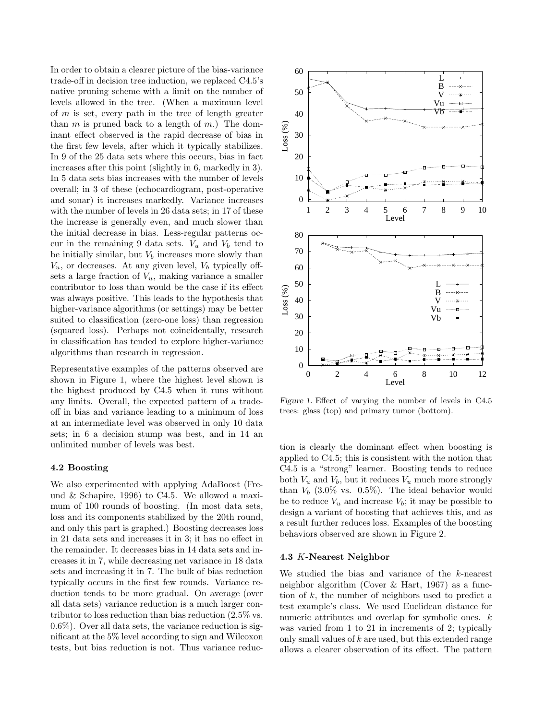In order to obtain a clearer picture of the bias-variance trade-off in decision tree induction, we replaced C4.5's native pruning scheme with a limit on the number of levels allowed in the tree. (When a maximum level of  $m$  is set, every path in the tree of length greater than m is pruned back to a length of m.) The dominant effect observed is the rapid decrease of bias in the first few levels, after which it typically stabilizes. In 9 of the 25 data sets where this occurs, bias in fact increases after this point (slightly in 6, markedly in 3). In 5 data sets bias increases with the number of levels overall; in 3 of these (echocardiogram, post-operative and sonar) it increases markedly. Variance increases with the number of levels in 26 data sets; in 17 of these the increase is generally even, and much slower than the initial decrease in bias. Less-regular patterns occur in the remaining 9 data sets.  $V_u$  and  $V_b$  tend to be initially similar, but  $V_b$  increases more slowly than  $V_u$ , or decreases. At any given level,  $V_b$  typically offsets a large fraction of  $V_u$ , making variance a smaller contributor to loss than would be the case if its effect was always positive. This leads to the hypothesis that higher-variance algorithms (or settings) may be better suited to classification (zero-one loss) than regression (squared loss). Perhaps not coincidentally, research in classification has tended to explore higher-variance algorithms than research in regression.

Representative examples of the patterns observed are shown in Figure 1, where the highest level shown is the highest produced by C4.5 when it runs without any limits. Overall, the expected pattern of a tradeoff in bias and variance leading to a minimum of loss at an intermediate level was observed in only 10 data sets; in 6 a decision stump was best, and in 14 an unlimited number of levels was best.

#### 4.2 Boosting

We also experimented with applying AdaBoost (Freund & Schapire, 1996) to C4.5. We allowed a maximum of 100 rounds of boosting. (In most data sets, loss and its components stabilized by the 20th round, and only this part is graphed.) Boosting decreases loss in 21 data sets and increases it in 3; it has no effect in the remainder. It decreases bias in 14 data sets and increases it in 7, while decreasing net variance in 18 data sets and increasing it in 7. The bulk of bias reduction typically occurs in the first few rounds. Variance reduction tends to be more gradual. On average (over all data sets) variance reduction is a much larger contributor to loss reduction than bias reduction (2.5% vs. 0.6%). Over all data sets, the variance reduction is significant at the 5% level according to sign and Wilcoxon tests, but bias reduction is not. Thus variance reduc-



Figure 1. Effect of varying the number of levels in C4.5 trees: glass (top) and primary tumor (bottom).

tion is clearly the dominant effect when boosting is applied to C4.5; this is consistent with the notion that C4.5 is a "strong" learner. Boosting tends to reduce both  $V_u$  and  $V_b$ , but it reduces  $V_u$  much more strongly than  $V_b$  (3.0% vs. 0.5%). The ideal behavior would be to reduce  $V_u$  and increase  $V_b$ ; it may be possible to design a variant of boosting that achieves this, and as a result further reduces loss. Examples of the boosting behaviors observed are shown in Figure 2.

### 4.3 K-Nearest Neighbor

We studied the bias and variance of the k-nearest neighbor algorithm (Cover & Hart, 1967) as a function of  $k$ , the number of neighbors used to predict a test example's class. We used Euclidean distance for numeric attributes and overlap for symbolic ones. k was varied from 1 to 21 in increments of 2; typically only small values of  $k$  are used, but this extended range allows a clearer observation of its effect. The pattern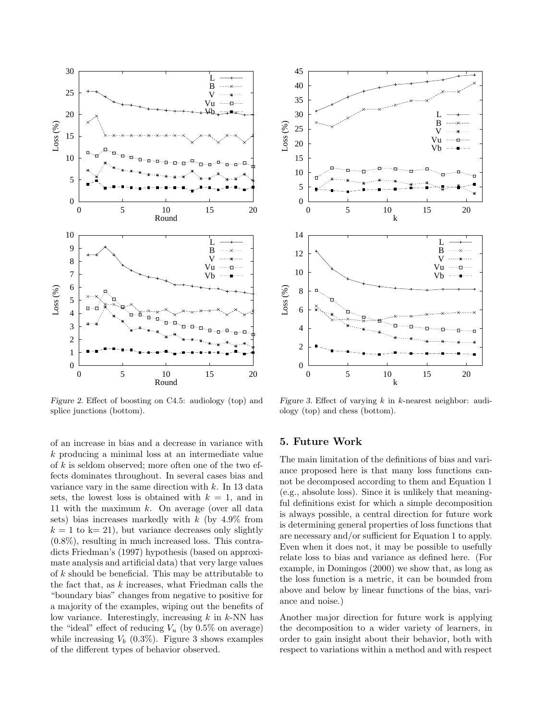

Figure 2. Effect of boosting on C4.5: audiology (top) and splice junctions (bottom).

of an increase in bias and a decrease in variance with k producing a minimal loss at an intermediate value of  $k$  is seldom observed; more often one of the two effects dominates throughout. In several cases bias and variance vary in the same direction with  $k$ . In 13 data sets, the lowest loss is obtained with  $k = 1$ , and in 11 with the maximum  $k$ . On average (over all data sets) bias increases markedly with  $k$  (by 4.9% from  $k = 1$  to k= 21), but variance decreases only slightly (0.8%), resulting in much increased loss. This contradicts Friedman's (1997) hypothesis (based on approximate analysis and artificial data) that very large values of k should be beneficial. This may be attributable to the fact that, as  $k$  increases, what Friedman calls the "boundary bias" changes from negative to positive for a majority of the examples, wiping out the benefits of low variance. Interestingly, increasing  $k$  in  $k$ -NN has the "ideal" effect of reducing  $V_u$  (by 0.5% on average) while increasing  $V_b$  (0.3%). Figure 3 shows examples of the different types of behavior observed.



Figure 3. Effect of varying  $k$  in  $k$ -nearest neighbor: audiology (top) and chess (bottom).

## 5. Future Work

The main limitation of the definitions of bias and variance proposed here is that many loss functions cannot be decomposed according to them and Equation 1 (e.g., absolute loss). Since it is unlikely that meaningful definitions exist for which a simple decomposition is always possible, a central direction for future work is determining general properties of loss functions that are necessary and/or sufficient for Equation 1 to apply. Even when it does not, it may be possible to usefully relate loss to bias and variance as defined here. (For example, in Domingos (2000) we show that, as long as the loss function is a metric, it can be bounded from above and below by linear functions of the bias, variance and noise.)

Another major direction for future work is applying the decomposition to a wider variety of learners, in order to gain insight about their behavior, both with respect to variations within a method and with respect